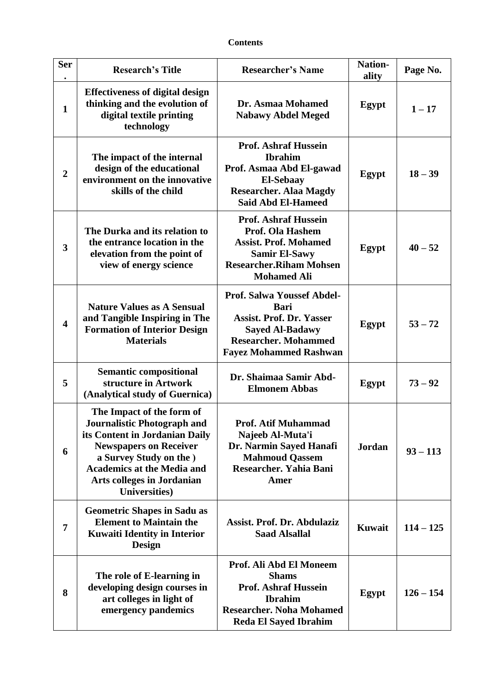## **Contents**

| <b>Ser</b><br>$\bullet$ | <b>Research's Title</b>                                                                                                                                                                                                                                   | <b>Researcher's Name</b>                                                                                                                                                      | <b>Nation-</b><br>ality | Page No.    |
|-------------------------|-----------------------------------------------------------------------------------------------------------------------------------------------------------------------------------------------------------------------------------------------------------|-------------------------------------------------------------------------------------------------------------------------------------------------------------------------------|-------------------------|-------------|
| $\mathbf{1}$            | <b>Effectiveness of digital design</b><br>thinking and the evolution of<br>digital textile printing<br>technology                                                                                                                                         | Dr. Asmaa Mohamed<br><b>Nabawy Abdel Meged</b>                                                                                                                                | Egypt                   | $1 - 17$    |
| $\overline{2}$          | The impact of the internal<br>design of the educational<br>environment on the innovative<br>skills of the child                                                                                                                                           | <b>Prof. Ashraf Hussein</b><br><b>Ibrahim</b><br>Prof. Asmaa Abd El-gawad<br><b>El-Sebaay</b><br><b>Researcher. Alaa Magdy</b><br><b>Said Abd El-Hameed</b>                   | Egypt                   | $18 - 39$   |
| 3                       | The Durka and its relation to<br>the entrance location in the<br>elevation from the point of<br>view of energy science                                                                                                                                    | <b>Prof. Ashraf Hussein</b><br>Prof. Ola Hashem<br><b>Assist. Prof. Mohamed</b><br><b>Samir El-Sawy</b><br><b>Researcher.Riham Mohsen</b><br><b>Mohamed Ali</b>               | Egypt                   | $40 - 52$   |
| $\overline{\mathbf{4}}$ | <b>Nature Values as A Sensual</b><br>and Tangible Inspiring in The<br><b>Formation of Interior Design</b><br><b>Materials</b>                                                                                                                             | <b>Prof. Salwa Youssef Abdel-</b><br><b>Bari</b><br><b>Assist. Prof. Dr. Yasser</b><br><b>Sayed Al-Badawy</b><br><b>Researcher. Mohammed</b><br><b>Fayez Mohammed Rashwan</b> | Egypt                   | $53 - 72$   |
| 5                       | <b>Semantic compositional</b><br>structure in Artwork<br>(Analytical study of Guernica)                                                                                                                                                                   | Dr. Shaimaa Samir Abd-<br><b>Elmonem Abbas</b>                                                                                                                                | Egypt                   | $73 - 92$   |
| 6                       | The Impact of the form of<br>Journalistic Photograph and<br>its Content in Jordanian Daily<br><b>Newspapers on Receiver</b><br>a Survey Study on the )<br><b>Academics at the Media and</b><br><b>Arts colleges in Jordanian</b><br><b>Universities</b> ) | <b>Prof. Atif Muhammad</b><br>Najeeb Al-Muta'i<br>Dr. Narmin Sayed Hanafi<br><b>Mahmoud Qassem</b><br>Researcher. Yahia Bani<br>Amer                                          | <b>Jordan</b>           | $93 - 113$  |
| 7                       | <b>Geometric Shapes in Sadu as</b><br><b>Element to Maintain the</b><br><b>Kuwaiti Identity in Interior</b><br>Design                                                                                                                                     | Assist. Prof. Dr. Abdulaziz<br><b>Saad Alsallal</b>                                                                                                                           | <b>Kuwait</b>           | $114 - 125$ |
| 8                       | The role of E-learning in<br>developing design courses in<br>art colleges in light of<br>emergency pandemics                                                                                                                                              | Prof. Ali Abd El Moneem<br><b>Shams</b><br><b>Prof. Ashraf Hussein</b><br><b>Ibrahim</b><br><b>Researcher. Noha Mohamed</b><br><b>Reda El Sayed Ibrahim</b>                   | Egypt                   | $126 - 154$ |